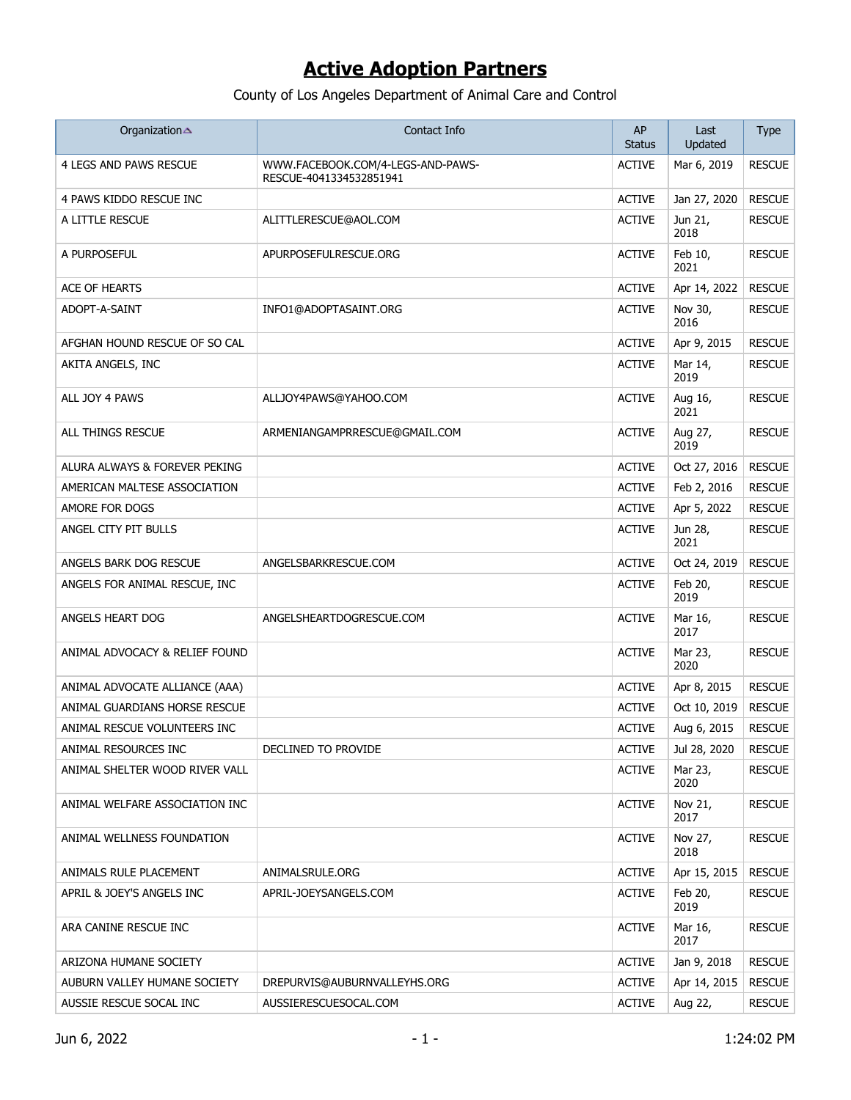| Organization                   | Contact Info                                                 | AP<br><b>Status</b> | Last<br>Updated | <b>Type</b>   |
|--------------------------------|--------------------------------------------------------------|---------------------|-----------------|---------------|
| 4 LEGS AND PAWS RESCUE         | WWW.FACEBOOK.COM/4-LEGS-AND-PAWS-<br>RESCUE-4041334532851941 | <b>ACTIVE</b>       | Mar 6, 2019     | <b>RESCUE</b> |
| 4 PAWS KIDDO RESCUE INC        |                                                              | <b>ACTIVE</b>       | Jan 27, 2020    | <b>RESCUE</b> |
| A LITTLE RESCUE                | ALITTLERESCUE@AOL.COM                                        | <b>ACTIVE</b>       | Jun 21,<br>2018 | <b>RESCUE</b> |
| A PURPOSEFUL                   | APURPOSEFULRESCUE.ORG                                        | <b>ACTIVE</b>       | Feb 10,<br>2021 | <b>RESCUE</b> |
| ACE OF HEARTS                  |                                                              | <b>ACTIVE</b>       | Apr 14, 2022    | <b>RESCUE</b> |
| ADOPT-A-SAINT                  | INFO1@ADOPTASAINT.ORG                                        | <b>ACTIVE</b>       | Nov 30,<br>2016 | <b>RESCUE</b> |
| AFGHAN HOUND RESCUE OF SO CAL  |                                                              | <b>ACTIVE</b>       | Apr 9, 2015     | <b>RESCUE</b> |
| AKITA ANGELS, INC              |                                                              | <b>ACTIVE</b>       | Mar 14,<br>2019 | <b>RESCUE</b> |
| ALL JOY 4 PAWS                 | ALLJOY4PAWS@YAHOO.COM                                        | <b>ACTIVE</b>       | Aug 16,<br>2021 | <b>RESCUE</b> |
| ALL THINGS RESCUE              | ARMENIANGAMPRRESCUE@GMAIL.COM                                | <b>ACTIVE</b>       | Aug 27,<br>2019 | <b>RESCUE</b> |
| ALURA ALWAYS & FOREVER PEKING  |                                                              | <b>ACTIVE</b>       | Oct 27, 2016    | <b>RESCUE</b> |
| AMERICAN MALTESE ASSOCIATION   |                                                              | <b>ACTIVE</b>       | Feb 2, 2016     | <b>RESCUE</b> |
| AMORE FOR DOGS                 |                                                              | <b>ACTIVE</b>       | Apr 5, 2022     | <b>RESCUE</b> |
| ANGEL CITY PIT BULLS           |                                                              | <b>ACTIVE</b>       | Jun 28,<br>2021 | <b>RESCUE</b> |
| ANGELS BARK DOG RESCUE         | ANGELSBARKRESCUE.COM                                         | <b>ACTIVE</b>       | Oct 24, 2019    | <b>RESCUE</b> |
| ANGELS FOR ANIMAL RESCUE, INC  |                                                              | <b>ACTIVE</b>       | Feb 20,<br>2019 | <b>RESCUE</b> |
| ANGELS HEART DOG               | ANGELSHEARTDOGRESCUE.COM                                     | <b>ACTIVE</b>       | Mar 16,<br>2017 | <b>RESCUE</b> |
| ANIMAL ADVOCACY & RELIEF FOUND |                                                              | <b>ACTIVE</b>       | Mar 23,<br>2020 | <b>RESCUE</b> |
| ANIMAL ADVOCATE ALLIANCE (AAA) |                                                              | <b>ACTIVE</b>       | Apr 8, 2015     | <b>RESCUE</b> |
| ANIMAL GUARDIANS HORSE RESCUE  |                                                              | <b>ACTIVE</b>       | Oct 10, 2019    | <b>RESCUE</b> |
| ANIMAL RESCUE VOLUNTEERS INC   |                                                              | <b>ACTIVE</b>       | Aug 6, 2015     | <b>RESCUE</b> |
| ANIMAL RESOURCES INC           | DECLINED TO PROVIDE                                          | <b>ACTIVE</b>       | Jul 28, 2020    | <b>RESCUE</b> |
| ANIMAL SHELTER WOOD RIVER VALL |                                                              | <b>ACTIVE</b>       | Mar 23,<br>2020 | <b>RESCUE</b> |
| ANIMAL WELFARE ASSOCIATION INC |                                                              | <b>ACTIVE</b>       | Nov 21,<br>2017 | <b>RESCUE</b> |
| ANIMAL WELLNESS FOUNDATION     |                                                              | <b>ACTIVE</b>       | Nov 27,<br>2018 | <b>RESCUE</b> |
| ANIMALS RULE PLACEMENT         | ANIMALSRULE.ORG                                              | <b>ACTIVE</b>       | Apr 15, 2015    | <b>RESCUE</b> |
| APRIL & JOEY'S ANGELS INC      | APRIL-JOEYSANGELS.COM                                        | <b>ACTIVE</b>       | Feb 20,<br>2019 | <b>RESCUE</b> |
| ARA CANINE RESCUE INC          |                                                              | <b>ACTIVE</b>       | Mar 16,<br>2017 | <b>RESCUE</b> |
| ARIZONA HUMANE SOCIETY         |                                                              | <b>ACTIVE</b>       | Jan 9, 2018     | <b>RESCUE</b> |
| AUBURN VALLEY HUMANE SOCIETY   | DREPURVIS@AUBURNVALLEYHS.ORG                                 | <b>ACTIVE</b>       | Apr 14, 2015    | <b>RESCUE</b> |
| AUSSIE RESCUE SOCAL INC        | AUSSIERESCUESOCAL.COM                                        | <b>ACTIVE</b>       | Aug 22,         | <b>RESCUE</b> |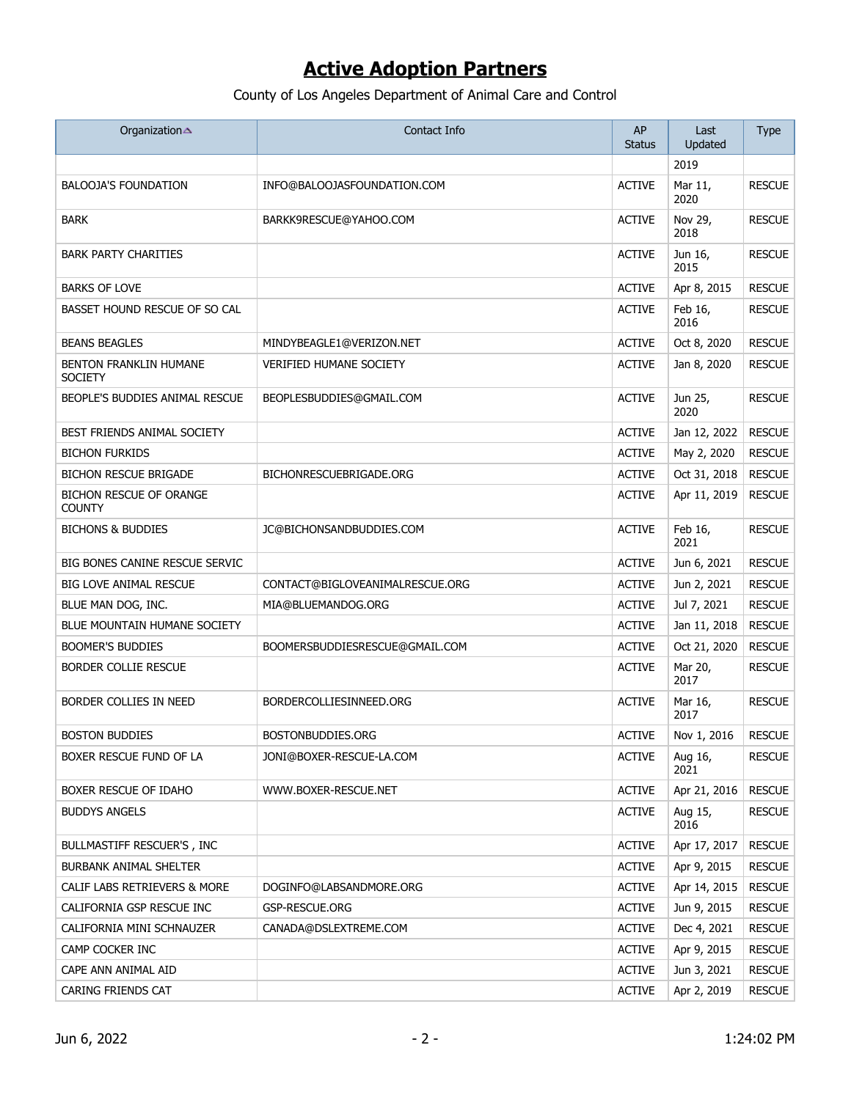| Organization                                    | Contact Info                    | AP<br><b>Status</b> | Last<br>Updated | <b>Type</b>   |
|-------------------------------------------------|---------------------------------|---------------------|-----------------|---------------|
|                                                 |                                 |                     | 2019            |               |
| <b>BALOOJA'S FOUNDATION</b>                     | INFO@BALOOJASFOUNDATION.COM     | <b>ACTIVE</b>       | Mar 11,<br>2020 | <b>RESCUE</b> |
| <b>BARK</b>                                     | BARKK9RESCUE@YAHOO.COM          | <b>ACTIVE</b>       | Nov 29,<br>2018 | <b>RESCUE</b> |
| <b>BARK PARTY CHARITIES</b>                     |                                 | <b>ACTIVE</b>       | Jun 16,<br>2015 | <b>RESCUE</b> |
| <b>BARKS OF LOVE</b>                            |                                 | <b>ACTIVE</b>       | Apr 8, 2015     | <b>RESCUE</b> |
| BASSET HOUND RESCUE OF SO CAL                   |                                 | <b>ACTIVE</b>       | Feb 16,<br>2016 | <b>RESCUE</b> |
| <b>BEANS BEAGLES</b>                            | MINDYBEAGLE1@VERIZON.NET        | <b>ACTIVE</b>       | Oct 8, 2020     | <b>RESCUE</b> |
| <b>BENTON FRANKLIN HUMANE</b><br><b>SOCIETY</b> | <b>VERIFIED HUMANE SOCIETY</b>  | <b>ACTIVE</b>       | Jan 8, 2020     | <b>RESCUE</b> |
| BEOPLE'S BUDDIES ANIMAL RESCUE                  | BEOPLESBUDDIES@GMAIL.COM        | <b>ACTIVE</b>       | Jun 25,<br>2020 | <b>RESCUE</b> |
| BEST FRIENDS ANIMAL SOCIETY                     |                                 | <b>ACTIVE</b>       | Jan 12, 2022    | <b>RESCUE</b> |
| <b>BICHON FURKIDS</b>                           |                                 | <b>ACTIVE</b>       | May 2, 2020     | <b>RESCUE</b> |
| <b>BICHON RESCUE BRIGADE</b>                    | BICHONRESCUEBRIGADE.ORG         | <b>ACTIVE</b>       | Oct 31, 2018    | <b>RESCUE</b> |
| <b>BICHON RESCUE OF ORANGE</b><br><b>COUNTY</b> |                                 | <b>ACTIVE</b>       | Apr 11, 2019    | <b>RESCUE</b> |
| <b>BICHONS &amp; BUDDIES</b>                    | JC@BICHONSANDBUDDIES.COM        | <b>ACTIVE</b>       | Feb 16,<br>2021 | <b>RESCUE</b> |
| BIG BONES CANINE RESCUE SERVIC                  |                                 | <b>ACTIVE</b>       | Jun 6, 2021     | <b>RESCUE</b> |
| <b>BIG LOVE ANIMAL RESCUE</b>                   | CONTACT@BIGLOVEANIMALRESCUE.ORG | <b>ACTIVE</b>       | Jun 2, 2021     | <b>RESCUE</b> |
| BLUE MAN DOG, INC.                              | MIA@BLUEMANDOG.ORG              | <b>ACTIVE</b>       | Jul 7, 2021     | <b>RESCUE</b> |
| BLUE MOUNTAIN HUMANE SOCIETY                    |                                 | <b>ACTIVE</b>       | Jan 11, 2018    | <b>RESCUE</b> |
| <b>BOOMER'S BUDDIES</b>                         | BOOMERSBUDDIESRESCUE@GMAIL.COM  | <b>ACTIVE</b>       | Oct 21, 2020    | <b>RESCUE</b> |
| <b>BORDER COLLIE RESCUE</b>                     |                                 | <b>ACTIVE</b>       | Mar 20,<br>2017 | <b>RESCUE</b> |
| BORDER COLLIES IN NEED                          | BORDERCOLLIESINNEED.ORG         | <b>ACTIVE</b>       | Mar 16,<br>2017 | <b>RESCUE</b> |
| <b>BOSTON BUDDIES</b>                           | BOSTONBUDDIES.ORG               | <b>ACTIVE</b>       | Nov 1, 2016     | <b>RESCUE</b> |
| BOXER RESCUE FUND OF LA                         | JONI@BOXER-RESCUE-LA.COM        | <b>ACTIVE</b>       | Aug 16,<br>2021 | <b>RESCUE</b> |
| BOXER RESCUE OF IDAHO                           | WWW.BOXER-RESCUE.NET            | <b>ACTIVE</b>       | Apr 21, 2016    | <b>RESCUE</b> |
| <b>BUDDYS ANGELS</b>                            |                                 | <b>ACTIVE</b>       | Aug 15,<br>2016 | <b>RESCUE</b> |
| BULLMASTIFF RESCUER'S, INC                      |                                 | <b>ACTIVE</b>       | Apr 17, 2017    | <b>RESCUE</b> |
| BURBANK ANIMAL SHELTER                          |                                 | <b>ACTIVE</b>       | Apr 9, 2015     | <b>RESCUE</b> |
| CALIF LABS RETRIEVERS & MORE                    | DOGINFO@LABSANDMORE.ORG         | <b>ACTIVE</b>       | Apr 14, 2015    | <b>RESCUE</b> |
| CALIFORNIA GSP RESCUE INC                       | GSP-RESCUE.ORG                  | <b>ACTIVE</b>       | Jun 9, 2015     | <b>RESCUE</b> |
| CALIFORNIA MINI SCHNAUZER                       | CANADA@DSLEXTREME.COM           | <b>ACTIVE</b>       | Dec 4, 2021     | <b>RESCUE</b> |
| CAMP COCKER INC                                 |                                 | <b>ACTIVE</b>       | Apr 9, 2015     | <b>RESCUE</b> |
| CAPE ANN ANIMAL AID                             |                                 | <b>ACTIVE</b>       | Jun 3, 2021     | <b>RESCUE</b> |
| CARING FRIENDS CAT                              |                                 | <b>ACTIVE</b>       | Apr 2, 2019     | <b>RESCUE</b> |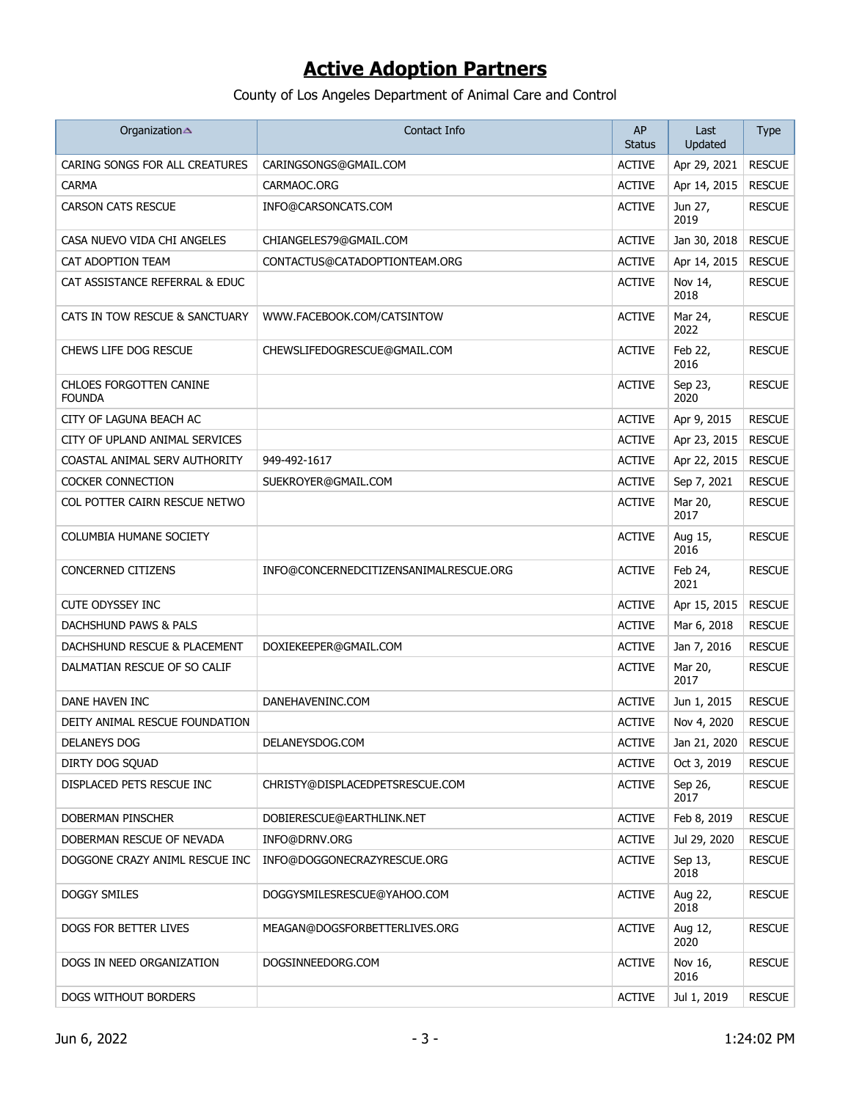| Organization                             | Contact Info                           | AP<br><b>Status</b> | Last<br>Updated       | Type          |
|------------------------------------------|----------------------------------------|---------------------|-----------------------|---------------|
| CARING SONGS FOR ALL CREATURES           | CARINGSONGS@GMAIL.COM                  | <b>ACTIVE</b>       | Apr 29, 2021          | <b>RESCUE</b> |
| <b>CARMA</b>                             | CARMAOC.ORG                            | <b>ACTIVE</b>       | Apr 14, 2015          | <b>RESCUE</b> |
| <b>CARSON CATS RESCUE</b>                | INFO@CARSONCATS.COM                    | <b>ACTIVE</b>       | Jun 27,<br>2019       | <b>RESCUE</b> |
| CASA NUEVO VIDA CHI ANGELES              | CHIANGELES79@GMAIL.COM                 | <b>ACTIVE</b>       | Jan 30, 2018          | <b>RESCUE</b> |
| CAT ADOPTION TEAM                        | CONTACTUS@CATADOPTIONTEAM.ORG          | <b>ACTIVE</b>       | Apr 14, 2015          | <b>RESCUE</b> |
| CAT ASSISTANCE REFERRAL & EDUC           |                                        | <b>ACTIVE</b>       | Nov 14,<br>2018       | <b>RESCUE</b> |
| CATS IN TOW RESCUE & SANCTUARY           | WWW.FACEBOOK.COM/CATSINTOW             | <b>ACTIVE</b>       | Mar 24,<br>2022       | <b>RESCUE</b> |
| CHEWS LIFE DOG RESCUE                    | CHEWSLIFEDOGRESCUE@GMAIL.COM           | <b>ACTIVE</b>       | Feb 22,<br>2016       | <b>RESCUE</b> |
| CHLOES FORGOTTEN CANINE<br><b>FOUNDA</b> |                                        | <b>ACTIVE</b>       | Sep 23,<br>2020       | <b>RESCUE</b> |
| CITY OF LAGUNA BEACH AC                  |                                        | <b>ACTIVE</b>       | Apr 9, 2015           | <b>RESCUE</b> |
| CITY OF UPLAND ANIMAL SERVICES           |                                        | <b>ACTIVE</b>       | Apr 23, 2015          | <b>RESCUE</b> |
| COASTAL ANIMAL SERV AUTHORITY            | 949-492-1617                           | <b>ACTIVE</b>       | Apr 22, 2015          | <b>RESCUE</b> |
| <b>COCKER CONNECTION</b>                 | SUEKROYER@GMAIL.COM                    | <b>ACTIVE</b>       | Sep 7, 2021           | <b>RESCUE</b> |
| COL POTTER CAIRN RESCUE NETWO            |                                        | <b>ACTIVE</b>       | Mar 20,<br>2017       | <b>RESCUE</b> |
| COLUMBIA HUMANE SOCIETY                  |                                        | <b>ACTIVE</b>       | Aug 15,<br>2016       | <b>RESCUE</b> |
| CONCERNED CITIZENS                       | INFO@CONCERNEDCITIZENSANIMALRESCUE.ORG | <b>ACTIVE</b>       | Feb 24,<br>2021       | <b>RESCUE</b> |
| <b>CUTE ODYSSEY INC</b>                  |                                        | <b>ACTIVE</b>       | Apr 15, 2015          | <b>RESCUE</b> |
| DACHSHUND PAWS & PALS                    |                                        | <b>ACTIVE</b>       | Mar 6, 2018           | <b>RESCUE</b> |
| DACHSHUND RESCUE & PLACEMENT             | DOXIEKEEPER@GMAIL.COM                  | <b>ACTIVE</b>       | Jan 7, 2016           | <b>RESCUE</b> |
| DALMATIAN RESCUE OF SO CALIF             |                                        | <b>ACTIVE</b>       | Mar 20,<br>2017       | <b>RESCUE</b> |
| DANE HAVEN INC                           | DANEHAVENINC.COM                       | <b>ACTIVE</b>       | Jun 1, 2015           | <b>RESCUE</b> |
| DEITY ANIMAL RESCUE FOUNDATION           |                                        | <b>ACTIVE</b>       | Nov 4, 2020           | <b>RESCUE</b> |
| <b>DELANEYS DOG</b>                      | DELANEYSDOG.COM                        | <b>ACTIVE</b>       | Jan 21, 2020   RESCUE |               |
| DIRTY DOG SOUAD                          |                                        | <b>ACTIVE</b>       | Oct 3, 2019           | <b>RESCUE</b> |
| DISPLACED PETS RESCUE INC                | CHRISTY@DISPLACEDPETSRESCUE.COM        | <b>ACTIVE</b>       | Sep 26,<br>2017       | <b>RESCUE</b> |
| DOBERMAN PINSCHER                        | DOBIERESCUE@EARTHLINK.NET              | <b>ACTIVE</b>       | Feb 8, 2019           | <b>RESCUE</b> |
| DOBERMAN RESCUE OF NEVADA                | INFO@DRNV.ORG                          | <b>ACTIVE</b>       | Jul 29, 2020          | <b>RESCUE</b> |
| DOGGONE CRAZY ANIML RESCUE INC           | INFO@DOGGONECRAZYRESCUE.ORG            | <b>ACTIVE</b>       | Sep 13,<br>2018       | <b>RESCUE</b> |
| <b>DOGGY SMILES</b>                      | DOGGYSMILESRESCUE@YAHOO.COM            | <b>ACTIVE</b>       | Aug 22,<br>2018       | <b>RESCUE</b> |
| DOGS FOR BETTER LIVES                    | MEAGAN@DOGSFORBETTERLIVES.ORG          | <b>ACTIVE</b>       | Aug 12,<br>2020       | <b>RESCUE</b> |
| DOGS IN NEED ORGANIZATION                | DOGSINNEEDORG.COM                      | <b>ACTIVE</b>       | Nov 16,<br>2016       | <b>RESCUE</b> |
| DOGS WITHOUT BORDERS                     |                                        | <b>ACTIVE</b>       | Jul 1, 2019           | <b>RESCUE</b> |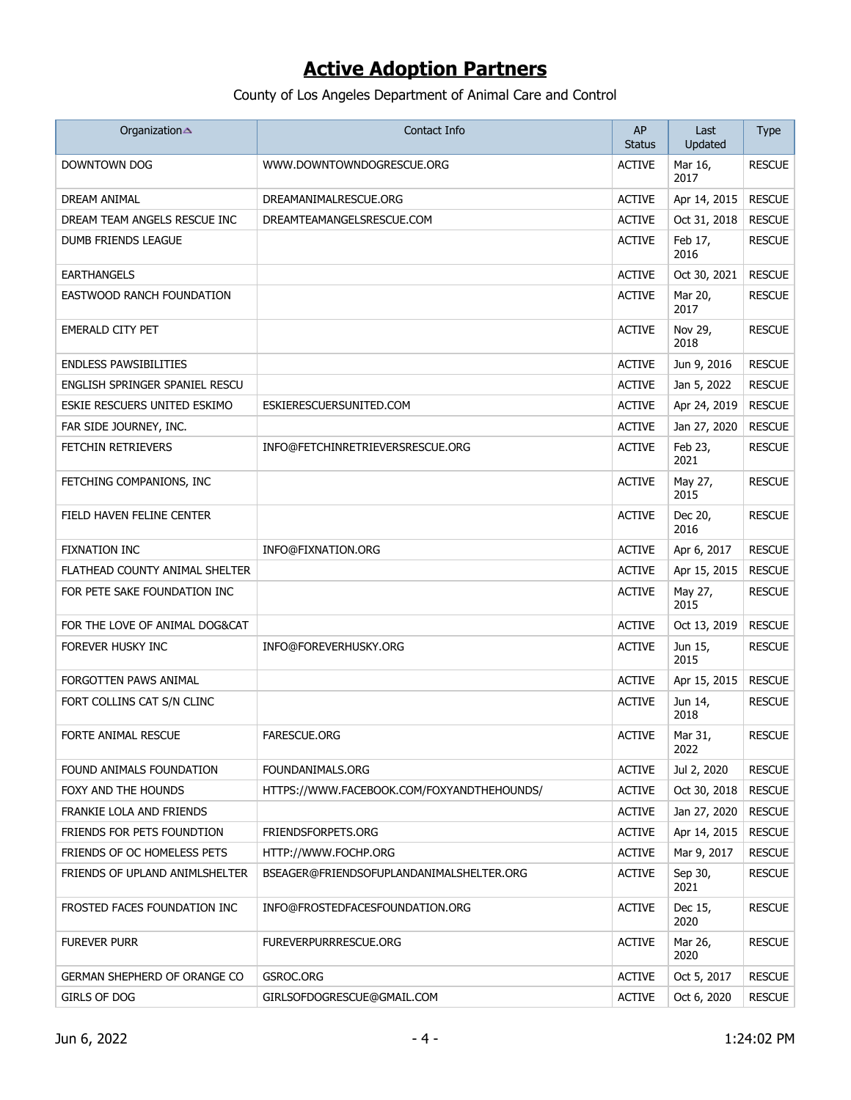| Organization                   | Contact Info                               | AP<br><b>Status</b> | Last<br>Updated | <b>Type</b>   |
|--------------------------------|--------------------------------------------|---------------------|-----------------|---------------|
| DOWNTOWN DOG                   | WWW.DOWNTOWNDOGRESCUE.ORG                  | <b>ACTIVE</b>       | Mar 16,<br>2017 | <b>RESCUE</b> |
| DREAM ANIMAL                   | DREAMANIMALRESCUE.ORG                      | <b>ACTIVE</b>       | Apr 14, 2015    | <b>RESCUE</b> |
| DREAM TEAM ANGELS RESCUE INC   | DREAMTEAMANGELSRESCUE.COM                  | <b>ACTIVE</b>       | Oct 31, 2018    | <b>RESCUE</b> |
| DUMB FRIENDS LEAGUE            |                                            | <b>ACTIVE</b>       | Feb 17,<br>2016 | <b>RESCUE</b> |
| <b>EARTHANGELS</b>             |                                            | <b>ACTIVE</b>       | Oct 30, 2021    | <b>RESCUE</b> |
| EASTWOOD RANCH FOUNDATION      |                                            | <b>ACTIVE</b>       | Mar 20,<br>2017 | <b>RESCUE</b> |
| EMERALD CITY PET               |                                            | <b>ACTIVE</b>       | Nov 29,<br>2018 | <b>RESCUE</b> |
| <b>ENDLESS PAWSIBILITIES</b>   |                                            | <b>ACTIVE</b>       | Jun 9, 2016     | <b>RESCUE</b> |
| ENGLISH SPRINGER SPANIEL RESCU |                                            | <b>ACTIVE</b>       | Jan 5, 2022     | <b>RESCUE</b> |
| ESKIE RESCUERS UNITED ESKIMO   | ESKIERESCUERSUNITED.COM                    | <b>ACTIVE</b>       | Apr 24, 2019    | <b>RESCUE</b> |
| FAR SIDE JOURNEY, INC.         |                                            | <b>ACTIVE</b>       | Jan 27, 2020    | <b>RESCUE</b> |
| FETCHIN RETRIEVERS             | INFO@FETCHINRETRIEVERSRESCUE.ORG           | <b>ACTIVE</b>       | Feb 23,<br>2021 | <b>RESCUE</b> |
| FETCHING COMPANIONS, INC       |                                            | <b>ACTIVE</b>       | May 27,<br>2015 | <b>RESCUE</b> |
| FIELD HAVEN FELINE CENTER      |                                            | <b>ACTIVE</b>       | Dec 20,<br>2016 | <b>RESCUE</b> |
| <b>FIXNATION INC</b>           | INFO@FIXNATION.ORG                         | <b>ACTIVE</b>       | Apr 6, 2017     | <b>RESCUE</b> |
| FLATHEAD COUNTY ANIMAL SHELTER |                                            | <b>ACTIVE</b>       | Apr 15, 2015    | <b>RESCUE</b> |
| FOR PETE SAKE FOUNDATION INC   |                                            | <b>ACTIVE</b>       | May 27,<br>2015 | <b>RESCUE</b> |
| FOR THE LOVE OF ANIMAL DOG&CAT |                                            | <b>ACTIVE</b>       | Oct 13, 2019    | <b>RESCUE</b> |
| FOREVER HUSKY INC              | INFO@FOREVERHUSKY.ORG                      | <b>ACTIVE</b>       | Jun 15,<br>2015 | <b>RESCUE</b> |
| FORGOTTEN PAWS ANIMAL          |                                            | <b>ACTIVE</b>       | Apr 15, 2015    | <b>RESCUE</b> |
| FORT COLLINS CAT S/N CLINC     |                                            | <b>ACTIVE</b>       | Jun 14,<br>2018 | <b>RESCUE</b> |
| FORTE ANIMAL RESCUE            | <b>FARESCUE.ORG</b>                        | <b>ACTIVE</b>       | Mar 31,<br>2022 | <b>RESCUE</b> |
| FOUND ANIMALS FOUNDATION       | FOUNDANIMALS.ORG                           | <b>ACTIVE</b>       | Jul 2, 2020     | <b>RESCUE</b> |
| FOXY AND THE HOUNDS            | HTTPS://WWW.FACEBOOK.COM/FOXYANDTHEHOUNDS/ | <b>ACTIVE</b>       | Oct 30, 2018    | <b>RESCUE</b> |
| FRANKIE LOLA AND FRIENDS       |                                            | <b>ACTIVE</b>       | Jan 27, 2020    | <b>RESCUE</b> |
| FRIENDS FOR PETS FOUNDTION     | FRIENDSFORPETS.ORG                         | <b>ACTIVE</b>       | Apr 14, 2015    | <b>RESCUE</b> |
| FRIENDS OF OC HOMELESS PETS    | HTTP://WWW.FOCHP.ORG                       | <b>ACTIVE</b>       | Mar 9, 2017     | <b>RESCUE</b> |
| FRIENDS OF UPLAND ANIMLSHELTER | BSEAGER@FRIENDSOFUPLANDANIMALSHELTER.ORG   | <b>ACTIVE</b>       | Sep 30,<br>2021 | <b>RESCUE</b> |
| FROSTED FACES FOUNDATION INC   | INFO@FROSTEDFACESFOUNDATION.ORG            | <b>ACTIVE</b>       | Dec 15,<br>2020 | <b>RESCUE</b> |
| <b>FUREVER PURR</b>            | <b>FUREVERPURRRESCUE.ORG</b>               | <b>ACTIVE</b>       | Mar 26,<br>2020 | <b>RESCUE</b> |
| GERMAN SHEPHERD OF ORANGE CO   | GSROC.ORG                                  | <b>ACTIVE</b>       | Oct 5, 2017     | <b>RESCUE</b> |
| GIRLS OF DOG                   | GIRLSOFDOGRESCUE@GMAIL.COM                 | <b>ACTIVE</b>       | Oct 6, 2020     | <b>RESCUE</b> |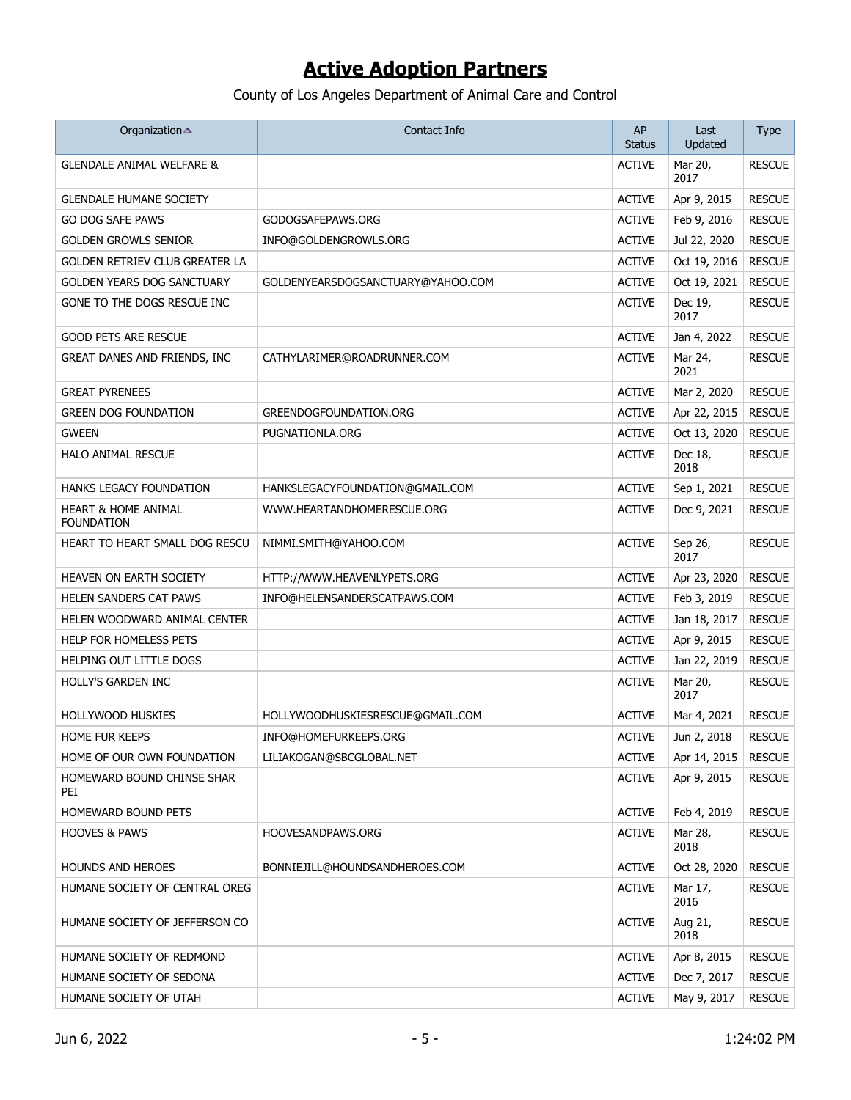| Organization                             | Contact Info                      | AP<br>Status  | Last<br>Updated | <b>Type</b>   |
|------------------------------------------|-----------------------------------|---------------|-----------------|---------------|
| <b>GLENDALE ANIMAL WELFARE &amp;</b>     |                                   | <b>ACTIVE</b> | Mar 20,<br>2017 | <b>RESCUE</b> |
| <b>GLENDALE HUMANE SOCIETY</b>           |                                   | <b>ACTIVE</b> | Apr 9, 2015     | <b>RESCUE</b> |
| GO DOG SAFE PAWS                         | GODOGSAFEPAWS.ORG                 | <b>ACTIVE</b> | Feb 9, 2016     | <b>RESCUE</b> |
| GOLDEN GROWLS SENIOR                     | INFO@GOLDENGROWLS.ORG             | <b>ACTIVE</b> | Jul 22, 2020    | <b>RESCUE</b> |
| GOLDEN RETRIEV CLUB GREATER LA           |                                   | <b>ACTIVE</b> | Oct 19, 2016    | <b>RESCUE</b> |
| GOLDEN YEARS DOG SANCTUARY               | GOLDENYEARSDOGSANCTUARY@YAHOO.COM | <b>ACTIVE</b> | Oct 19, 2021    | <b>RESCUE</b> |
| GONE TO THE DOGS RESCUE INC              |                                   | <b>ACTIVE</b> | Dec 19,<br>2017 | <b>RESCUE</b> |
| <b>GOOD PETS ARE RESCUE</b>              |                                   | <b>ACTIVE</b> | Jan 4, 2022     | <b>RESCUE</b> |
| GREAT DANES AND FRIENDS, INC             | CATHYLARIMER@ROADRUNNER.COM       | <b>ACTIVE</b> | Mar 24,<br>2021 | <b>RESCUE</b> |
| <b>GREAT PYRENEES</b>                    |                                   | <b>ACTIVE</b> | Mar 2, 2020     | <b>RESCUE</b> |
| <b>GREEN DOG FOUNDATION</b>              | GREENDOGFOUNDATION.ORG            | <b>ACTIVE</b> | Apr 22, 2015    | <b>RESCUE</b> |
| GWEEN                                    | PUGNATIONLA.ORG                   | <b>ACTIVE</b> | Oct 13, 2020    | <b>RESCUE</b> |
| HALO ANIMAL RESCUE                       |                                   | <b>ACTIVE</b> | Dec 18,<br>2018 | <b>RESCUE</b> |
| HANKS LEGACY FOUNDATION                  | HANKSLEGACYFOUNDATION@GMAIL.COM   | <b>ACTIVE</b> | Sep 1, 2021     | <b>RESCUE</b> |
| HEART & HOME ANIMAL<br><b>FOUNDATION</b> | WWW.HEARTANDHOMERESCUE.ORG        | <b>ACTIVE</b> | Dec 9, 2021     | <b>RESCUE</b> |
| HEART TO HEART SMALL DOG RESCU           | NIMMI.SMITH@YAHOO.COM             | <b>ACTIVE</b> | Sep 26,<br>2017 | <b>RESCUE</b> |
| HEAVEN ON EARTH SOCIETY                  | HTTP://WWW.HEAVENLYPETS.ORG       | <b>ACTIVE</b> | Apr 23, 2020    | <b>RESCUE</b> |
| HELEN SANDERS CAT PAWS                   | INFO@HELENSANDERSCATPAWS.COM      | <b>ACTIVE</b> | Feb 3, 2019     | <b>RESCUE</b> |
| HELEN WOODWARD ANIMAL CENTER             |                                   | <b>ACTIVE</b> | Jan 18, 2017    | <b>RESCUE</b> |
| HELP FOR HOMELESS PETS                   |                                   | <b>ACTIVE</b> | Apr 9, 2015     | <b>RESCUE</b> |
| HELPING OUT LITTLE DOGS                  |                                   | <b>ACTIVE</b> | Jan 22, 2019    | <b>RESCUE</b> |
| HOLLY'S GARDEN INC                       |                                   | <b>ACTIVE</b> | Mar 20,<br>2017 | <b>RESCUE</b> |
| <b>HOLLYWOOD HUSKIES</b>                 | HOLLYWOODHUSKIESRESCUE@GMAIL.COM  | <b>ACTIVE</b> | Mar 4, 2021     | <b>RESCUE</b> |
| Home fur keeps                           | INFO@HOMEFURKEEPS.ORG             | <b>ACTIVE</b> | Jun 2, 2018     | <b>RESCUE</b> |
| HOME OF OUR OWN FOUNDATION               | LILIAKOGAN@SBCGLOBAL.NET          | <b>ACTIVE</b> | Apr 14, 2015    | <b>RESCUE</b> |
| HOMEWARD BOUND CHINSE SHAR<br>PEI        |                                   | <b>ACTIVE</b> | Apr 9, 2015     | <b>RESCUE</b> |
| HOMEWARD BOUND PETS                      |                                   | <b>ACTIVE</b> | Feb 4, 2019     | <b>RESCUE</b> |
| <b>HOOVES &amp; PAWS</b>                 | HOOVESANDPAWS.ORG                 | <b>ACTIVE</b> | Mar 28,<br>2018 | <b>RESCUE</b> |
| <b>HOUNDS AND HEROES</b>                 | BONNIEJILL@HOUNDSANDHEROES.COM    | <b>ACTIVE</b> | Oct 28, 2020    | <b>RESCUE</b> |
| HUMANE SOCIETY OF CENTRAL OREG           |                                   | <b>ACTIVE</b> | Mar 17,<br>2016 | <b>RESCUE</b> |
| HUMANE SOCIETY OF JEFFERSON CO           |                                   | <b>ACTIVE</b> | Aug 21,<br>2018 | <b>RESCUE</b> |
| HUMANE SOCIETY OF REDMOND                |                                   | <b>ACTIVE</b> | Apr 8, 2015     | <b>RESCUE</b> |
| HUMANE SOCIETY OF SEDONA                 |                                   | <b>ACTIVE</b> | Dec 7, 2017     | <b>RESCUE</b> |
| HUMANE SOCIETY OF UTAH                   |                                   | <b>ACTIVE</b> | May 9, 2017     | <b>RESCUE</b> |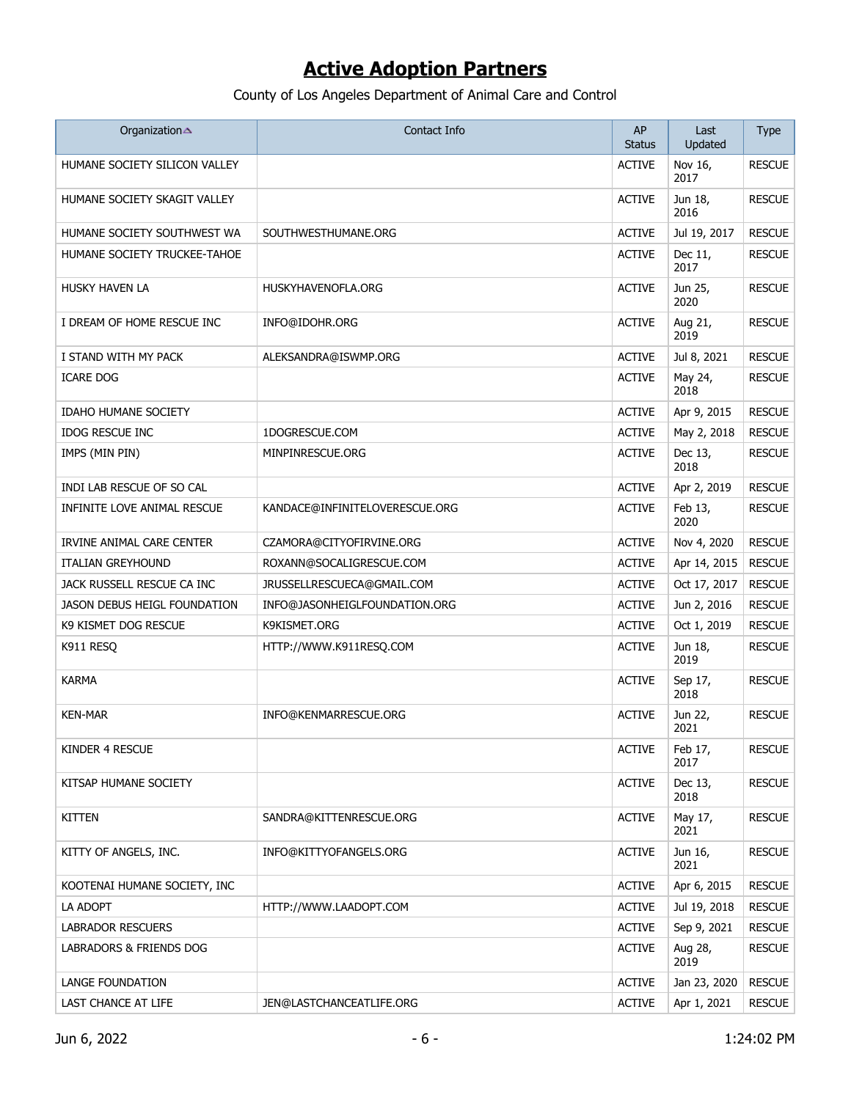| Organization                        | Contact Info                   | AP<br><b>Status</b> | Last<br>Updated | <b>Type</b>   |
|-------------------------------------|--------------------------------|---------------------|-----------------|---------------|
| HUMANE SOCIETY SILICON VALLEY       |                                | <b>ACTIVE</b>       | Nov 16,<br>2017 | <b>RESCUE</b> |
| HUMANE SOCIETY SKAGIT VALLEY        |                                | <b>ACTIVE</b>       | Jun 18,<br>2016 | <b>RESCUE</b> |
| HUMANE SOCIETY SOUTHWEST WA         | SOUTHWESTHUMANE.ORG            | <b>ACTIVE</b>       | Jul 19, 2017    | <b>RESCUE</b> |
| HUMANE SOCIETY TRUCKEE-TAHOE        |                                | <b>ACTIVE</b>       | Dec 11,<br>2017 | <b>RESCUE</b> |
| <b>HUSKY HAVEN LA</b>               | HUSKYHAVENOFLA.ORG             | <b>ACTIVE</b>       | Jun 25,<br>2020 | <b>RESCUE</b> |
| I DREAM OF HOME RESCUE INC          | INFO@IDOHR.ORG                 | <b>ACTIVE</b>       | Aug 21,<br>2019 | <b>RESCUE</b> |
| I STAND WITH MY PACK                | ALEKSANDRA@ISWMP.ORG           | <b>ACTIVE</b>       | Jul 8, 2021     | <b>RESCUE</b> |
| <b>ICARE DOG</b>                    |                                | <b>ACTIVE</b>       | May 24,<br>2018 | <b>RESCUE</b> |
| <b>IDAHO HUMANE SOCIETY</b>         |                                | <b>ACTIVE</b>       | Apr 9, 2015     | <b>RESCUE</b> |
| <b>IDOG RESCUE INC</b>              | 1DOGRESCUE.COM                 | <b>ACTIVE</b>       | May 2, 2018     | <b>RESCUE</b> |
| IMPS (MIN PIN)                      | MINPINRESCUE.ORG               | <b>ACTIVE</b>       | Dec 13,<br>2018 | <b>RESCUE</b> |
| INDI LAB RESCUE OF SO CAL           |                                | <b>ACTIVE</b>       | Apr 2, 2019     | <b>RESCUE</b> |
| INFINITE LOVE ANIMAL RESCUE         | KANDACE@INFINITELOVERESCUE.ORG | <b>ACTIVE</b>       | Feb 13,<br>2020 | <b>RESCUE</b> |
| IRVINE ANIMAL CARE CENTER           | CZAMORA@CITYOFIRVINE.ORG       | <b>ACTIVE</b>       | Nov 4, 2020     | <b>RESCUE</b> |
| <b>ITALIAN GREYHOUND</b>            | ROXANN@SOCALIGRESCUE.COM       | <b>ACTIVE</b>       | Apr 14, 2015    | <b>RESCUE</b> |
| JACK RUSSELL RESCUE CA INC          | JRUSSELLRESCUECA@GMAIL.COM     | <b>ACTIVE</b>       | Oct 17, 2017    | <b>RESCUE</b> |
| <b>JASON DEBUS HEIGL FOUNDATION</b> | INFO@JASONHEIGLFOUNDATION.ORG  | <b>ACTIVE</b>       | Jun 2, 2016     | <b>RESCUE</b> |
| K9 KISMET DOG RESCUE                | K9KISMET.ORG                   | <b>ACTIVE</b>       | Oct 1, 2019     | <b>RESCUE</b> |
| K911 RESQ                           | HTTP://WWW.K911RESQ.COM        | <b>ACTIVE</b>       | Jun 18,<br>2019 | <b>RESCUE</b> |
| <b>KARMA</b>                        |                                | <b>ACTIVE</b>       | Sep 17,<br>2018 | <b>RESCUE</b> |
| <b>KEN-MAR</b>                      | INFO@KENMARRESCUE.ORG          | <b>ACTIVE</b>       | Jun 22,<br>2021 | <b>RESCUE</b> |
| KINDER 4 RESCUE                     |                                | <b>ACTIVE</b>       | Feb 17,<br>2017 | <b>RESCUE</b> |
| KITSAP HUMANE SOCIETY               |                                | <b>ACTIVE</b>       | Dec 13,<br>2018 | <b>RESCUE</b> |
| <b>KITTEN</b>                       | SANDRA@KITTENRESCUE.ORG        | <b>ACTIVE</b>       | May 17,<br>2021 | <b>RESCUE</b> |
| KITTY OF ANGELS, INC.               | INFO@KITTYOFANGELS.ORG         | <b>ACTIVE</b>       | Jun 16,<br>2021 | <b>RESCUE</b> |
| KOOTENAI HUMANE SOCIETY, INC        |                                | <b>ACTIVE</b>       | Apr 6, 2015     | <b>RESCUE</b> |
| LA ADOPT                            | HTTP://WWW.LAADOPT.COM         | <b>ACTIVE</b>       | Jul 19, 2018    | <b>RESCUE</b> |
| <b>LABRADOR RESCUERS</b>            |                                | <b>ACTIVE</b>       | Sep 9, 2021     | <b>RESCUE</b> |
| LABRADORS & FRIENDS DOG             |                                | <b>ACTIVE</b>       | Aug 28,<br>2019 | <b>RESCUE</b> |
| LANGE FOUNDATION                    |                                | <b>ACTIVE</b>       | Jan 23, 2020    | <b>RESCUE</b> |
| LAST CHANCE AT LIFE                 | JEN@LASTCHANCEATLIFE.ORG       | <b>ACTIVE</b>       | Apr 1, 2021     | <b>RESCUE</b> |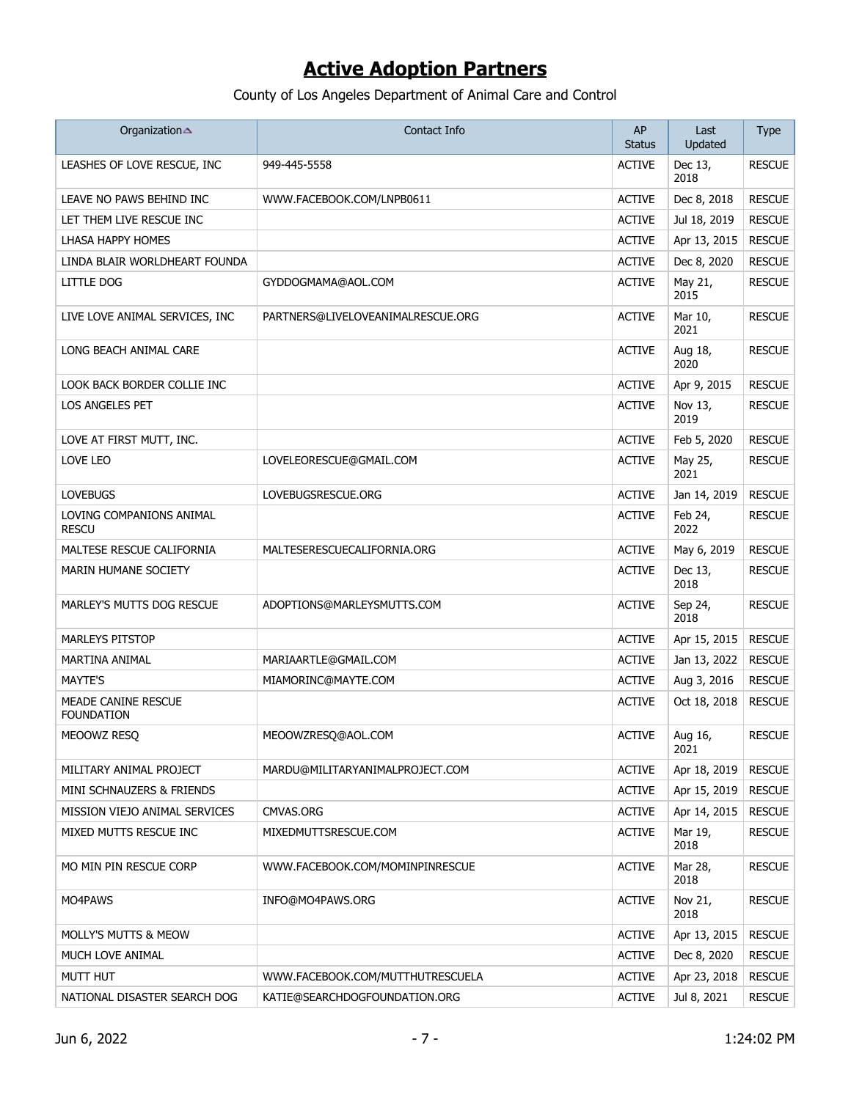| Organization                             | Contact Info                      | AP<br><b>Status</b> | Last<br>Updated | <b>Type</b>   |
|------------------------------------------|-----------------------------------|---------------------|-----------------|---------------|
| LEASHES OF LOVE RESCUE, INC              | 949-445-5558                      | <b>ACTIVE</b>       | Dec 13,<br>2018 | <b>RESCUE</b> |
| LEAVE NO PAWS BEHIND INC                 | WWW.FACEBOOK.COM/LNPB0611         | <b>ACTIVE</b>       | Dec 8, 2018     | <b>RESCUE</b> |
| LET THEM LIVE RESCUE INC                 |                                   | <b>ACTIVE</b>       | Jul 18, 2019    | <b>RESCUE</b> |
| LHASA HAPPY HOMES                        |                                   | <b>ACTIVE</b>       | Apr 13, 2015    | <b>RESCUE</b> |
| LINDA BLAIR WORLDHEART FOUNDA            |                                   | <b>ACTIVE</b>       | Dec 8, 2020     | <b>RESCUE</b> |
| <b>LITTLE DOG</b>                        | GYDDOGMAMA@AOL.COM                | <b>ACTIVE</b>       | May 21,<br>2015 | <b>RESCUE</b> |
| LIVE LOVE ANIMAL SERVICES, INC           | PARTNERS@LIVELOVEANIMALRESCUE.ORG | <b>ACTIVE</b>       | Mar 10,<br>2021 | <b>RESCUE</b> |
| LONG BEACH ANIMAL CARE                   |                                   | <b>ACTIVE</b>       | Aug 18,<br>2020 | <b>RESCUE</b> |
| LOOK BACK BORDER COLLIE INC              |                                   | <b>ACTIVE</b>       | Apr 9, 2015     | <b>RESCUE</b> |
| LOS ANGELES PET                          |                                   | <b>ACTIVE</b>       | Nov 13,<br>2019 | <b>RESCUE</b> |
| LOVE AT FIRST MUTT, INC.                 |                                   | <b>ACTIVE</b>       | Feb 5, 2020     | <b>RESCUE</b> |
| LOVE LEO                                 | LOVELEORESCUE@GMAIL.COM           | <b>ACTIVE</b>       | May 25,<br>2021 | <b>RESCUE</b> |
| <b>LOVEBUGS</b>                          | LOVEBUGSRESCUE.ORG                | <b>ACTIVE</b>       | Jan 14, 2019    | <b>RESCUE</b> |
| LOVING COMPANIONS ANIMAL<br><b>RESCU</b> |                                   | <b>ACTIVE</b>       | Feb 24.<br>2022 | <b>RESCUE</b> |
| MALTESE RESCUE CALIFORNIA                | MALTESERESCUECALIFORNIA.ORG       | <b>ACTIVE</b>       | May 6, 2019     | <b>RESCUE</b> |
| <b>MARIN HUMANE SOCIETY</b>              |                                   | <b>ACTIVE</b>       | Dec 13,<br>2018 | <b>RESCUE</b> |
| MARLEY'S MUTTS DOG RESCUE                | ADOPTIONS@MARLEYSMUTTS.COM        | <b>ACTIVE</b>       | Sep 24,<br>2018 | <b>RESCUE</b> |
| <b>MARLEYS PITSTOP</b>                   |                                   | <b>ACTIVE</b>       | Apr 15, 2015    | <b>RESCUE</b> |
| MARTINA ANIMAL                           | MARIAARTLE@GMAIL.COM              | <b>ACTIVE</b>       | Jan 13, 2022    | <b>RESCUE</b> |
| <b>MAYTE'S</b>                           | MIAMORINC@MAYTE.COM               | <b>ACTIVE</b>       | Aug 3, 2016     | <b>RESCUE</b> |
| MEADE CANINE RESCUE<br><b>FOUNDATION</b> |                                   | <b>ACTIVE</b>       | Oct 18, 2018    | <b>RESCUE</b> |
| MEOOWZ RESQ                              | MEOOWZRESO@AOL.COM                | <b>ACTIVE</b>       | Aug 16,<br>2021 | <b>RESCUE</b> |
| MILITARY ANIMAL PROJECT                  | MARDU@MILITARYANIMALPROJECT.COM   | <b>ACTIVE</b>       | Apr 18, 2019    | <b>RESCUE</b> |
| MINI SCHNAUZERS & FRIENDS                |                                   | <b>ACTIVE</b>       | Apr 15, 2019    | <b>RESCUE</b> |
| MISSION VIEJO ANIMAL SERVICES            | CMVAS.ORG                         | <b>ACTIVE</b>       | Apr 14, 2015    | <b>RESCUE</b> |
| MIXED MUTTS RESCUE INC                   | MIXEDMUTTSRESCUE.COM              | <b>ACTIVE</b>       | Mar 19,<br>2018 | <b>RESCUE</b> |
| MO MIN PIN RESCUE CORP                   | WWW.FACEBOOK.COM/MOMINPINRESCUE   | <b>ACTIVE</b>       | Mar 28,<br>2018 | <b>RESCUE</b> |
| MO4PAWS                                  | INFO@MO4PAWS.ORG                  | <b>ACTIVE</b>       | Nov 21,<br>2018 | <b>RESCUE</b> |
| MOLLY'S MUTTS & MEOW                     |                                   | <b>ACTIVE</b>       | Apr 13, 2015    | <b>RESCUE</b> |
| MUCH LOVE ANIMAL                         |                                   | <b>ACTIVE</b>       | Dec 8, 2020     | <b>RESCUE</b> |
| MUTT HUT                                 | WWW.FACEBOOK.COM/MUTTHUTRESCUELA  | <b>ACTIVE</b>       | Apr 23, 2018    | <b>RESCUE</b> |
| NATIONAL DISASTER SEARCH DOG             | KATIE@SEARCHDOGFOUNDATION.ORG     | <b>ACTIVE</b>       | Jul 8, 2021     | <b>RESCUE</b> |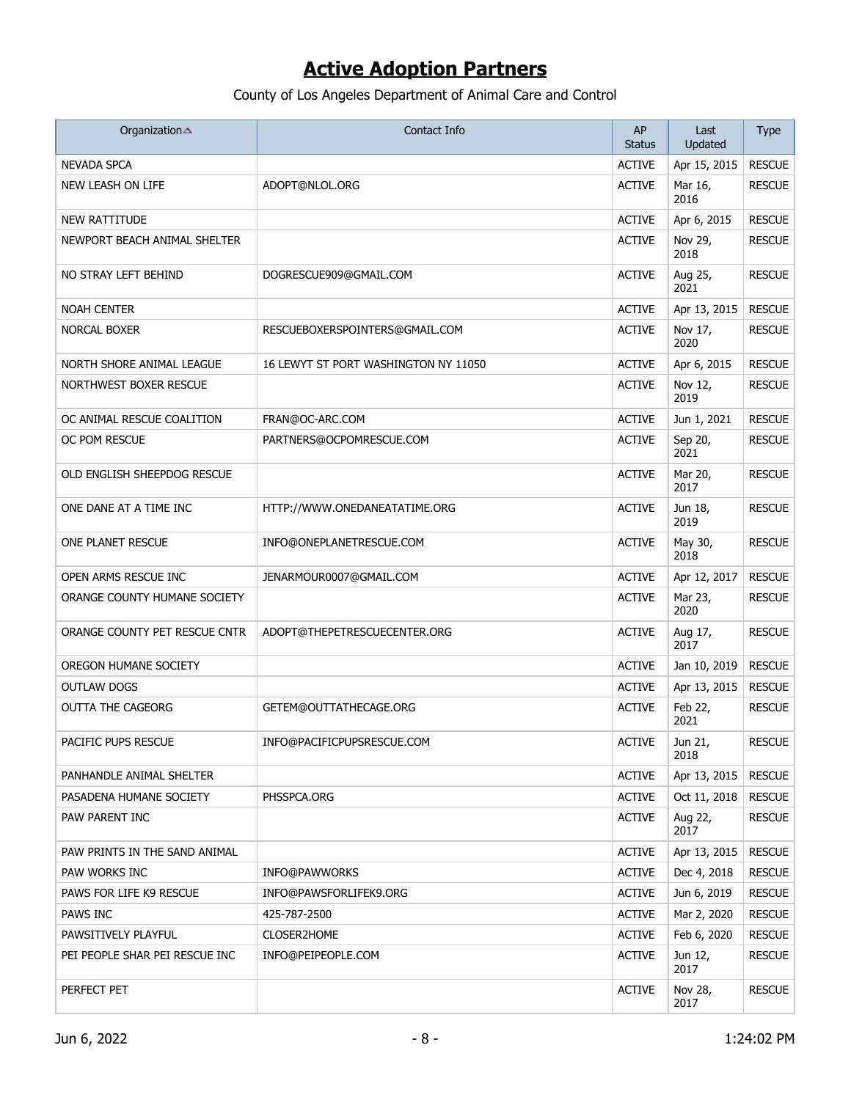| Organization                   | Contact Info                         | AP<br><b>Status</b> | Last<br>Updated | <b>Type</b>   |
|--------------------------------|--------------------------------------|---------------------|-----------------|---------------|
| <b>NEVADA SPCA</b>             |                                      | <b>ACTIVE</b>       | Apr 15, 2015    | <b>RESCUE</b> |
| NEW LEASH ON LIFE              | ADOPT@NLOL.ORG                       | <b>ACTIVE</b>       | Mar 16,<br>2016 | <b>RESCUE</b> |
| <b>NEW RATTITUDE</b>           |                                      | <b>ACTIVE</b>       | Apr 6, 2015     | <b>RESCUE</b> |
| NEWPORT BEACH ANIMAL SHELTER   |                                      | <b>ACTIVE</b>       | Nov 29,<br>2018 | <b>RESCUE</b> |
| NO STRAY LEFT BEHIND           | DOGRESCUE909@GMAIL.COM               | <b>ACTIVE</b>       | Aug 25,<br>2021 | <b>RESCUE</b> |
| <b>NOAH CENTER</b>             |                                      | <b>ACTIVE</b>       | Apr 13, 2015    | <b>RESCUE</b> |
| NORCAL BOXER                   | RESCUEBOXERSPOINTERS@GMAIL.COM       | <b>ACTIVE</b>       | Nov 17,<br>2020 | <b>RESCUE</b> |
| NORTH SHORE ANIMAL LEAGUE      | 16 LEWYT ST PORT WASHINGTON NY 11050 | <b>ACTIVE</b>       | Apr 6, 2015     | <b>RESCUE</b> |
| NORTHWEST BOXER RESCUE         |                                      | <b>ACTIVE</b>       | Nov 12,<br>2019 | <b>RESCUE</b> |
| OC ANIMAL RESCUE COALITION     | FRAN@OC-ARC.COM                      | <b>ACTIVE</b>       | Jun 1, 2021     | <b>RESCUE</b> |
| OC POM RESCUE                  | PARTNERS@OCPOMRESCUE.COM             | <b>ACTIVE</b>       | Sep 20,<br>2021 | <b>RESCUE</b> |
| OLD ENGLISH SHEEPDOG RESCUE    |                                      | <b>ACTIVE</b>       | Mar 20,<br>2017 | <b>RESCUE</b> |
| ONE DANE AT A TIME INC         | HTTP://WWW.ONEDANEATATIME.ORG        | <b>ACTIVE</b>       | Jun 18,<br>2019 | <b>RESCUE</b> |
| ONE PLANET RESCUE              | INFO@ONEPLANETRESCUE.COM             | <b>ACTIVE</b>       | May 30,<br>2018 | <b>RESCUE</b> |
| OPEN ARMS RESCUE INC           | JENARMOUR0007@GMAIL.COM              | <b>ACTIVE</b>       | Apr 12, 2017    | <b>RESCUE</b> |
| ORANGE COUNTY HUMANE SOCIETY   |                                      | <b>ACTIVE</b>       | Mar 23,<br>2020 | <b>RESCUE</b> |
| ORANGE COUNTY PET RESCUE CNTR  | ADOPT@THEPETRESCUECENTER.ORG         | <b>ACTIVE</b>       | Aug 17,<br>2017 | <b>RESCUE</b> |
| OREGON HUMANE SOCIETY          |                                      | <b>ACTIVE</b>       | Jan 10, 2019    | <b>RESCUE</b> |
| OUTLAW DOGS                    |                                      | <b>ACTIVE</b>       | Apr 13, 2015    | <b>RESCUE</b> |
| <b>OUTTA THE CAGEORG</b>       | GETEM@OUTTATHECAGE.ORG               | <b>ACTIVE</b>       | Feb 22,<br>2021 | <b>RESCUE</b> |
| PACIFIC PUPS RESCUE            | INFO@PACIFICPUPSRESCUE.COM           | <b>ACTIVE</b>       | Jun 21,<br>2018 | <b>RESCUE</b> |
| PANHANDLE ANIMAL SHELTER       |                                      | <b>ACTIVE</b>       | Apr 13, 2015    | <b>RESCUE</b> |
| PASADENA HUMANE SOCIETY        | PHSSPCA.ORG                          | <b>ACTIVE</b>       | Oct 11, 2018    | <b>RESCUE</b> |
| PAW PARENT INC                 |                                      | <b>ACTIVE</b>       | Aug 22,<br>2017 | <b>RESCUE</b> |
| PAW PRINTS IN THE SAND ANIMAL  |                                      | <b>ACTIVE</b>       | Apr 13, 2015    | <b>RESCUE</b> |
| PAW WORKS INC                  | <b>INFO@PAWWORKS</b>                 | <b>ACTIVE</b>       | Dec 4, 2018     | <b>RESCUE</b> |
| PAWS FOR LIFE K9 RESCUE        | INFO@PAWSFORLIFEK9.ORG               | <b>ACTIVE</b>       | Jun 6, 2019     | <b>RESCUE</b> |
| PAWS INC                       | 425-787-2500                         | <b>ACTIVE</b>       | Mar 2, 2020     | <b>RESCUE</b> |
| PAWSITIVELY PLAYFUL            | CLOSER2HOME                          | <b>ACTIVE</b>       | Feb 6, 2020     | <b>RESCUE</b> |
| PEI PEOPLE SHAR PEI RESCUE INC | INFO@PEIPEOPLE.COM                   | <b>ACTIVE</b>       | Jun 12,<br>2017 | <b>RESCUE</b> |
| PERFECT PET                    |                                      | <b>ACTIVE</b>       | Nov 28,<br>2017 | <b>RESCUE</b> |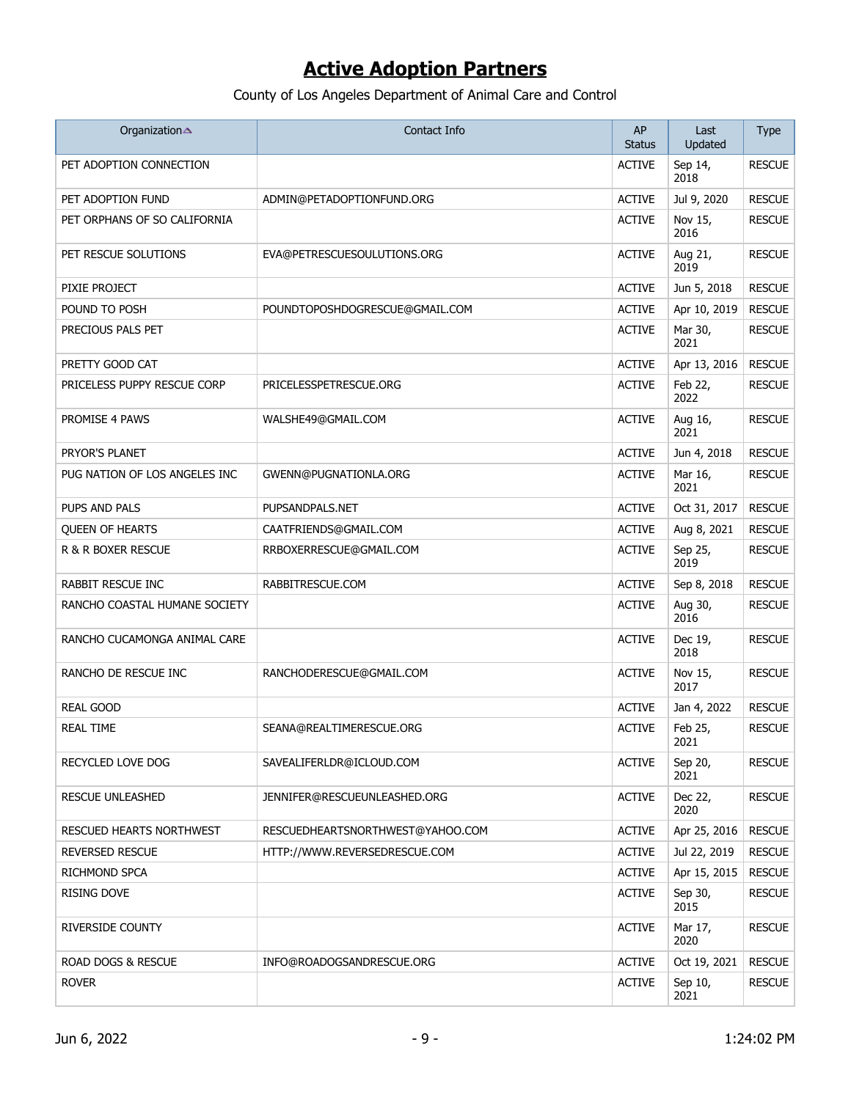| Organization                    | Contact Info                     | AP<br><b>Status</b> | Last<br>Updated | <b>Type</b>   |
|---------------------------------|----------------------------------|---------------------|-----------------|---------------|
| PET ADOPTION CONNECTION         |                                  | <b>ACTIVE</b>       | Sep 14,<br>2018 | <b>RESCUE</b> |
| PET ADOPTION FUND               | ADMIN@PETADOPTIONFUND.ORG        | <b>ACTIVE</b>       | Jul 9, 2020     | <b>RESCUE</b> |
| PET ORPHANS OF SO CALIFORNIA    |                                  | <b>ACTIVE</b>       | Nov 15,<br>2016 | <b>RESCUE</b> |
| PET RESCUE SOLUTIONS            | EVA@PETRESCUESOULUTIONS.ORG      | <b>ACTIVE</b>       | Aug 21,<br>2019 | <b>RESCUE</b> |
| PIXIE PROJECT                   |                                  | <b>ACTIVE</b>       | Jun 5, 2018     | <b>RESCUE</b> |
| POUND TO POSH                   | POUNDTOPOSHDOGRESCUE@GMAIL.COM   | <b>ACTIVE</b>       | Apr 10, 2019    | <b>RESCUE</b> |
| PRECIOUS PALS PET               |                                  | <b>ACTIVE</b>       | Mar 30,<br>2021 | <b>RESCUE</b> |
| PRETTY GOOD CAT                 |                                  | <b>ACTIVE</b>       | Apr 13, 2016    | <b>RESCUE</b> |
| PRICELESS PUPPY RESCUE CORP     | PRICELESSPETRESCUE.ORG           | <b>ACTIVE</b>       | Feb 22,<br>2022 | <b>RESCUE</b> |
| PROMISE 4 PAWS                  | WALSHE49@GMAIL.COM               | <b>ACTIVE</b>       | Aug 16,<br>2021 | <b>RESCUE</b> |
| PRYOR'S PLANET                  |                                  | <b>ACTIVE</b>       | Jun 4, 2018     | <b>RESCUE</b> |
| PUG NATION OF LOS ANGELES INC   | GWENN@PUGNATIONLA.ORG            | <b>ACTIVE</b>       | Mar 16,<br>2021 | <b>RESCUE</b> |
| PUPS AND PALS                   | PUPSANDPALS.NET                  | <b>ACTIVE</b>       | Oct 31, 2017    | <b>RESCUE</b> |
| <b>QUEEN OF HEARTS</b>          | CAATFRIENDS@GMAIL.COM            | <b>ACTIVE</b>       | Aug 8, 2021     | <b>RESCUE</b> |
| R & R BOXER RESCUE              | RRBOXERRESCUE@GMAIL.COM          | <b>ACTIVE</b>       | Sep 25,<br>2019 | <b>RESCUE</b> |
| RABBIT RESCUE INC               | RABBITRESCUE.COM                 | <b>ACTIVE</b>       | Sep 8, 2018     | <b>RESCUE</b> |
| RANCHO COASTAL HUMANE SOCIETY   |                                  | <b>ACTIVE</b>       | Aug 30,<br>2016 | <b>RESCUE</b> |
| RANCHO CUCAMONGA ANIMAL CARE    |                                  | <b>ACTIVE</b>       | Dec 19,<br>2018 | <b>RESCUE</b> |
| RANCHO DE RESCUE INC            | RANCHODERESCUE@GMAIL.COM         | <b>ACTIVE</b>       | Nov 15,<br>2017 | <b>RESCUE</b> |
| <b>REAL GOOD</b>                |                                  | <b>ACTIVE</b>       | Jan 4, 2022     | <b>RESCUE</b> |
| <b>REAL TIME</b>                | SEANA@REALTIMERESCUE.ORG         | <b>ACTIVE</b>       | Feb 25,<br>2021 | <b>RESCUE</b> |
| RECYCLED LOVE DOG               | SAVEALIFERLDR@ICLOUD.COM         | <b>ACTIVE</b>       | Sep 20,<br>2021 | <b>RESCUE</b> |
| <b>RESCUE UNLEASHED</b>         | JENNIFER@RESCUEUNLEASHED.ORG     | <b>ACTIVE</b>       | Dec 22,<br>2020 | <b>RESCUE</b> |
| <b>RESCUED HEARTS NORTHWEST</b> | RESCUEDHEARTSNORTHWEST@YAHOO.COM | <b>ACTIVE</b>       | Apr 25, 2016    | <b>RESCUE</b> |
| <b>REVERSED RESCUE</b>          | HTTP://WWW.REVERSEDRESCUE.COM    | <b>ACTIVE</b>       | Jul 22, 2019    | <b>RESCUE</b> |
| RICHMOND SPCA                   |                                  | <b>ACTIVE</b>       | Apr 15, 2015    | <b>RESCUE</b> |
| <b>RISING DOVE</b>              |                                  | <b>ACTIVE</b>       | Sep 30,<br>2015 | <b>RESCUE</b> |
| RIVERSIDE COUNTY                |                                  | <b>ACTIVE</b>       | Mar 17,<br>2020 | <b>RESCUE</b> |
| ROAD DOGS & RESCUE              | INFO@ROADOGSANDRESCUE.ORG        | <b>ACTIVE</b>       | Oct 19, 2021    | <b>RESCUE</b> |
| <b>ROVER</b>                    |                                  | <b>ACTIVE</b>       | Sep 10,<br>2021 | <b>RESCUE</b> |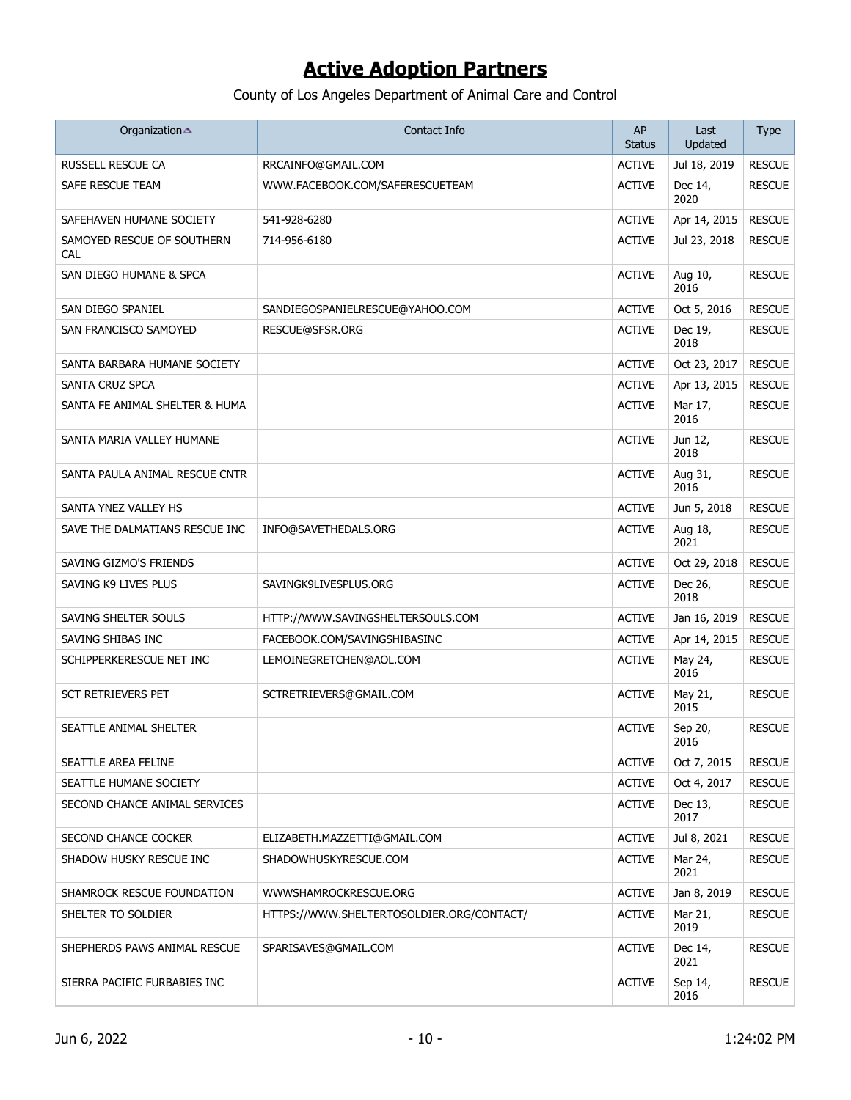| Organization                             | Contact Info                              | AP<br><b>Status</b> | Last<br>Updated | <b>Type</b>   |
|------------------------------------------|-------------------------------------------|---------------------|-----------------|---------------|
| <b>RUSSELL RESCUE CA</b>                 | RRCAINFO@GMAIL.COM                        | <b>ACTIVE</b>       | Jul 18, 2019    | <b>RESCUE</b> |
| SAFE RESCUE TEAM                         | WWW.FACEBOOK.COM/SAFERESCUETEAM           | <b>ACTIVE</b>       | Dec 14,<br>2020 | <b>RESCUE</b> |
| SAFEHAVEN HUMANE SOCIETY                 | 541-928-6280                              | <b>ACTIVE</b>       | Apr 14, 2015    | <b>RESCUE</b> |
| SAMOYED RESCUE OF SOUTHERN<br><b>CAL</b> | 714-956-6180                              | <b>ACTIVE</b>       | Jul 23, 2018    | <b>RESCUE</b> |
| SAN DIEGO HUMANE & SPCA                  |                                           | <b>ACTIVE</b>       | Aug 10,<br>2016 | <b>RESCUE</b> |
| SAN DIEGO SPANIEL                        | SANDIEGOSPANIELRESCUE@YAHOO.COM           | <b>ACTIVE</b>       | Oct 5, 2016     | <b>RESCUE</b> |
| SAN FRANCISCO SAMOYED                    | RESCUE@SFSR.ORG                           | <b>ACTIVE</b>       | Dec 19,<br>2018 | <b>RESCUE</b> |
| SANTA BARBARA HUMANE SOCIETY             |                                           | <b>ACTIVE</b>       | Oct 23, 2017    | <b>RESCUE</b> |
| SANTA CRUZ SPCA                          |                                           | <b>ACTIVE</b>       | Apr 13, 2015    | <b>RESCUE</b> |
| SANTA FE ANIMAL SHELTER & HUMA           |                                           | <b>ACTIVE</b>       | Mar 17,<br>2016 | <b>RESCUE</b> |
| SANTA MARIA VALLEY HUMANE                |                                           | <b>ACTIVE</b>       | Jun 12,<br>2018 | <b>RESCUE</b> |
| SANTA PAULA ANIMAL RESCUE CNTR           |                                           | <b>ACTIVE</b>       | Aug 31,<br>2016 | <b>RESCUE</b> |
| SANTA YNEZ VALLEY HS                     |                                           | <b>ACTIVE</b>       | Jun 5, 2018     | <b>RESCUE</b> |
| SAVE THE DALMATIANS RESCUE INC           | INFO@SAVETHEDALS.ORG                      | <b>ACTIVE</b>       | Aug 18,<br>2021 | <b>RESCUE</b> |
| SAVING GIZMO'S FRIENDS                   |                                           | <b>ACTIVE</b>       | Oct 29, 2018    | <b>RESCUE</b> |
| SAVING K9 LIVES PLUS                     | SAVINGK9LIVESPLUS.ORG                     | <b>ACTIVE</b>       | Dec 26,<br>2018 | <b>RESCUE</b> |
| SAVING SHELTER SOULS                     | HTTP://WWW.SAVINGSHELTERSOULS.COM         | <b>ACTIVE</b>       | Jan 16, 2019    | <b>RESCUE</b> |
| SAVING SHIBAS INC                        | FACEBOOK.COM/SAVINGSHIBASINC              | <b>ACTIVE</b>       | Apr 14, 2015    | <b>RESCUE</b> |
| SCHIPPERKERESCUE NET INC                 | LEMOINEGRETCHEN@AOL.COM                   | <b>ACTIVE</b>       | May 24,<br>2016 | <b>RESCUE</b> |
| <b>SCT RETRIEVERS PET</b>                | SCTRETRIEVERS@GMAIL.COM                   | <b>ACTIVE</b>       | May 21,<br>2015 | <b>RESCUE</b> |
| SEATTLE ANIMAL SHELTER                   |                                           | <b>ACTIVE</b>       | Sep 20,<br>2016 | <b>RESCUE</b> |
| SEATTLE AREA FELINE                      |                                           | <b>ACTIVE</b>       | Oct 7, 2015     | <b>RESCUE</b> |
| SEATTLE HUMANE SOCIETY                   |                                           | <b>ACTIVE</b>       | Oct 4, 2017     | <b>RESCUE</b> |
| SECOND CHANCE ANIMAL SERVICES            |                                           | <b>ACTIVE</b>       | Dec 13,<br>2017 | <b>RESCUE</b> |
| SECOND CHANCE COCKER                     | ELIZABETH.MAZZETTI@GMAIL.COM              | <b>ACTIVE</b>       | Jul 8, 2021     | <b>RESCUE</b> |
| SHADOW HUSKY RESCUE INC                  | SHADOWHUSKYRESCUE.COM                     | <b>ACTIVE</b>       | Mar 24,<br>2021 | <b>RESCUE</b> |
| SHAMROCK RESCUE FOUNDATION               | WWWSHAMROCKRESCUE.ORG                     | <b>ACTIVE</b>       | Jan 8, 2019     | <b>RESCUE</b> |
| SHELTER TO SOLDIER                       | HTTPS://WWW.SHELTERTOSOLDIER.ORG/CONTACT/ | <b>ACTIVE</b>       | Mar 21,<br>2019 | <b>RESCUE</b> |
| SHEPHERDS PAWS ANIMAL RESCUE             | SPARISAVES@GMAIL.COM                      | <b>ACTIVE</b>       | Dec 14,<br>2021 | <b>RESCUE</b> |
| SIERRA PACIFIC FURBABIES INC             |                                           | <b>ACTIVE</b>       | Sep 14,<br>2016 | <b>RESCUE</b> |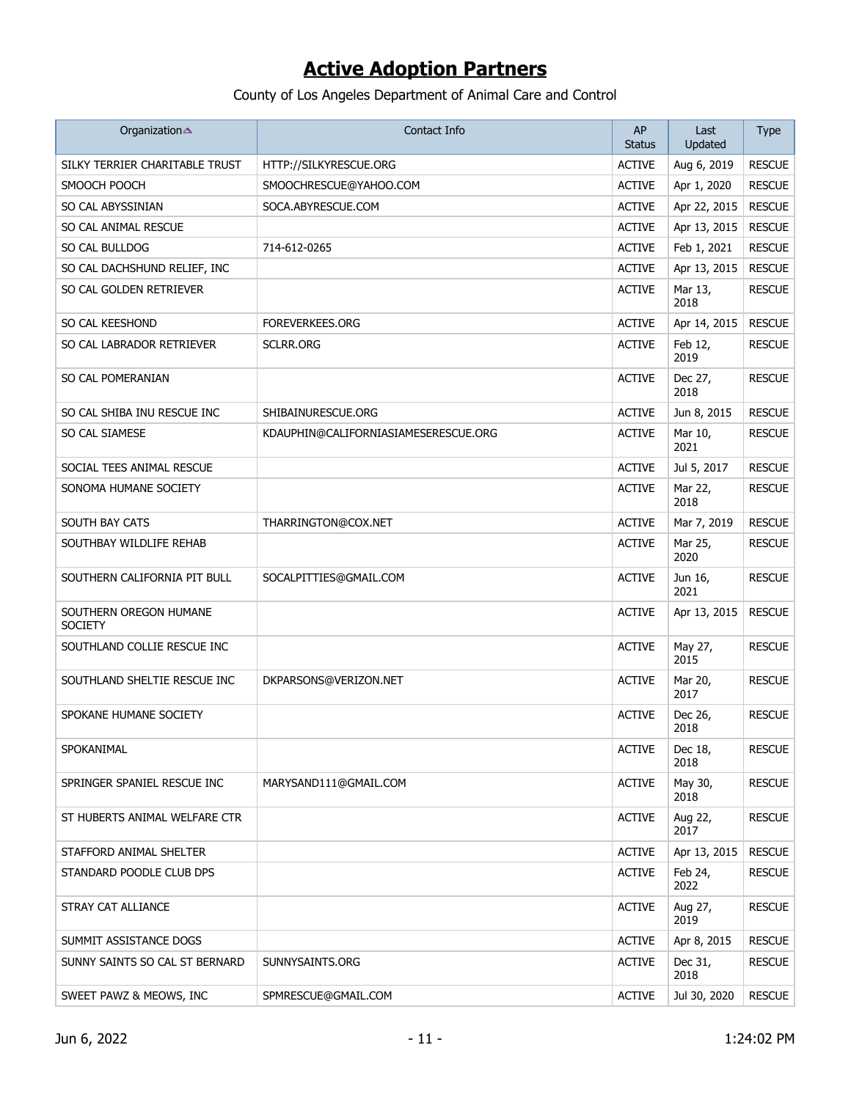| Organization                             | Contact Info                         | AP<br><b>Status</b> | Last<br>Updated | <b>Type</b>   |
|------------------------------------------|--------------------------------------|---------------------|-----------------|---------------|
| SILKY TERRIER CHARITABLE TRUST           | HTTP://SILKYRESCUE.ORG               | <b>ACTIVE</b>       | Aug 6, 2019     | <b>RESCUE</b> |
| SMOOCH POOCH                             | SMOOCHRESCUE@YAHOO.COM               | <b>ACTIVE</b>       | Apr 1, 2020     | <b>RESCUE</b> |
| SO CAL ABYSSINIAN                        | SOCA.ABYRESCUE.COM                   | <b>ACTIVE</b>       | Apr 22, 2015    | <b>RESCUE</b> |
| SO CAL ANIMAL RESCUE                     |                                      | <b>ACTIVE</b>       | Apr 13, 2015    | <b>RESCUE</b> |
| SO CAL BULLDOG                           | 714-612-0265                         | <b>ACTIVE</b>       | Feb 1, 2021     | <b>RESCUE</b> |
| SO CAL DACHSHUND RELIEF, INC             |                                      | <b>ACTIVE</b>       | Apr 13, 2015    | <b>RESCUE</b> |
| SO CAL GOLDEN RETRIEVER                  |                                      | <b>ACTIVE</b>       | Mar 13,<br>2018 | <b>RESCUE</b> |
| SO CAL KEESHOND                          | <b>FOREVERKEES.ORG</b>               | <b>ACTIVE</b>       | Apr 14, 2015    | <b>RESCUE</b> |
| SO CAL LABRADOR RETRIEVER                | SCLRR.ORG                            | <b>ACTIVE</b>       | Feb 12,<br>2019 | <b>RESCUE</b> |
| SO CAL POMERANIAN                        |                                      | <b>ACTIVE</b>       | Dec 27,<br>2018 | <b>RESCUE</b> |
| SO CAL SHIBA INU RESCUE INC              | SHIBAINURESCUE.ORG                   | <b>ACTIVE</b>       | Jun 8, 2015     | <b>RESCUE</b> |
| SO CAL SIAMESE                           | KDAUPHIN@CALIFORNIASIAMESERESCUE.ORG | <b>ACTIVE</b>       | Mar 10,<br>2021 | <b>RESCUE</b> |
| SOCIAL TEES ANIMAL RESCUE                |                                      | <b>ACTIVE</b>       | Jul 5, 2017     | <b>RESCUE</b> |
| SONOMA HUMANE SOCIETY                    |                                      | <b>ACTIVE</b>       | Mar 22,<br>2018 | <b>RESCUE</b> |
| SOUTH BAY CATS                           | THARRINGTON@COX.NET                  | <b>ACTIVE</b>       | Mar 7, 2019     | <b>RESCUE</b> |
| SOUTHBAY WILDLIFE REHAB                  |                                      | <b>ACTIVE</b>       | Mar 25,<br>2020 | <b>RESCUE</b> |
| SOUTHERN CALIFORNIA PIT BULL             | SOCALPITTIES@GMAIL.COM               | <b>ACTIVE</b>       | Jun 16,<br>2021 | <b>RESCUE</b> |
| SOUTHERN OREGON HUMANE<br><b>SOCIETY</b> |                                      | <b>ACTIVE</b>       | Apr 13, 2015    | <b>RESCUE</b> |
| SOUTHLAND COLLIE RESCUE INC              |                                      | <b>ACTIVE</b>       | May 27,<br>2015 | <b>RESCUE</b> |
| SOUTHLAND SHELTIE RESCUE INC             | DKPARSONS@VERIZON.NET                | <b>ACTIVE</b>       | Mar 20,<br>2017 | <b>RESCUE</b> |
| SPOKANE HUMANE SOCIETY                   |                                      | <b>ACTIVE</b>       | Dec 26,<br>2018 | <b>RESCUE</b> |
| SPOKANIMAL                               |                                      | <b>ACTIVE</b>       | Dec 18,<br>2018 | <b>RESCUE</b> |
| SPRINGER SPANIEL RESCUE INC              | MARYSAND111@GMAIL.COM                | <b>ACTIVE</b>       | May 30,<br>2018 | <b>RESCUE</b> |
| ST HUBERTS ANIMAL WELFARE CTR            |                                      | <b>ACTIVE</b>       | Aug 22,<br>2017 | <b>RESCUE</b> |
| STAFFORD ANIMAL SHELTER                  |                                      | <b>ACTIVE</b>       | Apr 13, 2015    | <b>RESCUE</b> |
| STANDARD POODLE CLUB DPS                 |                                      | <b>ACTIVE</b>       | Feb 24,<br>2022 | <b>RESCUE</b> |
| STRAY CAT ALLIANCE                       |                                      | <b>ACTIVE</b>       | Aug 27,<br>2019 | <b>RESCUE</b> |
| SUMMIT ASSISTANCE DOGS                   |                                      | <b>ACTIVE</b>       | Apr 8, 2015     | <b>RESCUE</b> |
| SUNNY SAINTS SO CAL ST BERNARD           | SUNNYSAINTS.ORG                      | <b>ACTIVE</b>       | Dec 31,<br>2018 | <b>RESCUE</b> |
| SWEET PAWZ & MEOWS, INC                  | SPMRESCUE@GMAIL.COM                  | <b>ACTIVE</b>       | Jul 30, 2020    | <b>RESCUE</b> |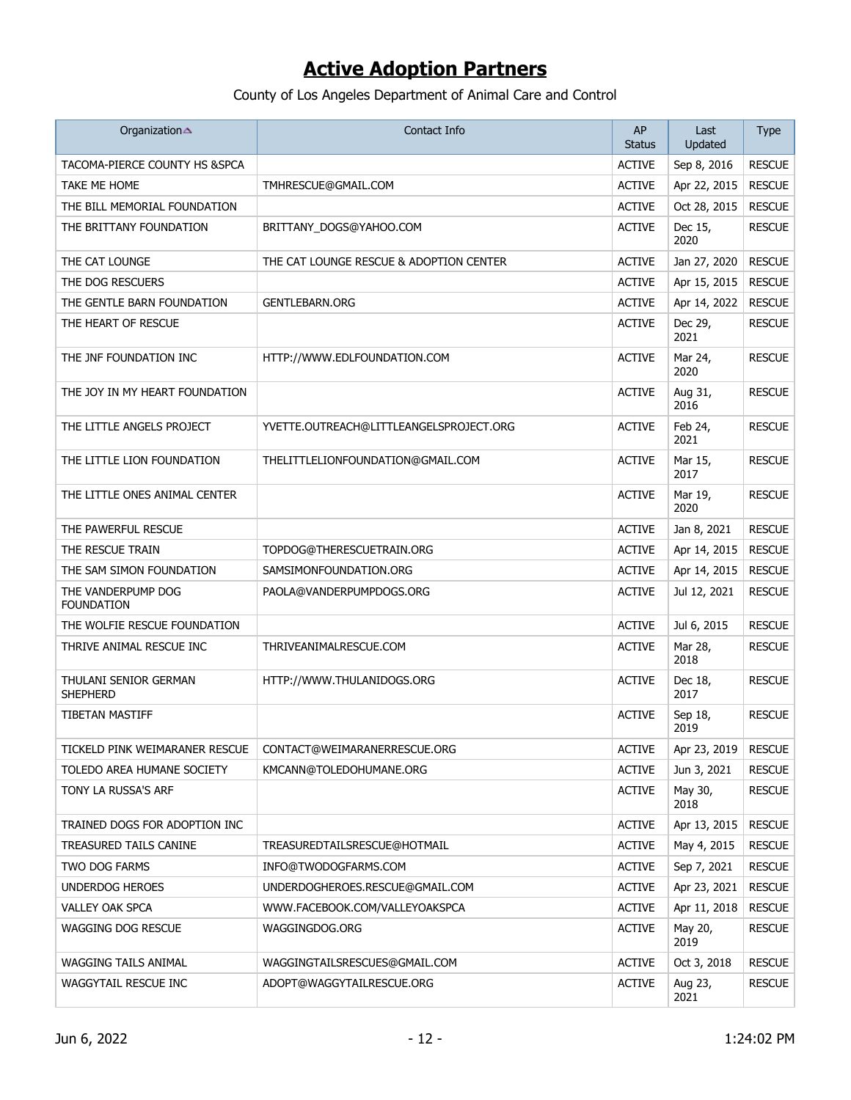| Organization                            | Contact Info                            | AP<br><b>Status</b> | Last<br>Updated | <b>Type</b>   |
|-----------------------------------------|-----------------------------------------|---------------------|-----------------|---------------|
| TACOMA-PIERCE COUNTY HS &SPCA           |                                         | <b>ACTIVE</b>       | Sep 8, 2016     | <b>RESCUE</b> |
| TAKE ME HOME                            | TMHRESCUE@GMAIL.COM                     | <b>ACTIVE</b>       | Apr 22, 2015    | <b>RESCUE</b> |
| THE BILL MEMORIAL FOUNDATION            |                                         | <b>ACTIVE</b>       | Oct 28, 2015    | <b>RESCUE</b> |
| THE BRITTANY FOUNDATION                 | BRITTANY_DOGS@YAHOO.COM                 | <b>ACTIVE</b>       | Dec 15,<br>2020 | <b>RESCUE</b> |
| THE CAT LOUNGE                          | THE CAT LOUNGE RESCUE & ADOPTION CENTER | <b>ACTIVE</b>       | Jan 27, 2020    | <b>RESCUE</b> |
| THE DOG RESCUERS                        |                                         | <b>ACTIVE</b>       | Apr 15, 2015    | <b>RESCUE</b> |
| THE GENTLE BARN FOUNDATION              | <b>GENTLEBARN.ORG</b>                   | <b>ACTIVE</b>       | Apr 14, 2022    | <b>RESCUE</b> |
| THE HEART OF RESCUE                     |                                         | <b>ACTIVE</b>       | Dec 29,<br>2021 | <b>RESCUE</b> |
| THE JNF FOUNDATION INC                  | HTTP://WWW.EDLFOUNDATION.COM            | <b>ACTIVE</b>       | Mar 24,<br>2020 | <b>RESCUE</b> |
| THE JOY IN MY HEART FOUNDATION          |                                         | <b>ACTIVE</b>       | Aug 31,<br>2016 | <b>RESCUE</b> |
| THE LITTLE ANGELS PROJECT               | YVETTE.OUTREACH@LITTLEANGELSPROJECT.ORG | <b>ACTIVE</b>       | Feb 24,<br>2021 | <b>RESCUE</b> |
| THE LITTLE LION FOUNDATION              | THELITTLELIONFOUNDATION@GMAIL.COM       | <b>ACTIVE</b>       | Mar 15,<br>2017 | <b>RESCUE</b> |
| THE LITTLE ONES ANIMAL CENTER           |                                         | <b>ACTIVE</b>       | Mar 19,<br>2020 | <b>RESCUE</b> |
| THE PAWERFUL RESCUE                     |                                         | <b>ACTIVE</b>       | Jan 8, 2021     | <b>RESCUE</b> |
| THE RESCUE TRAIN                        | TOPDOG@THERESCUETRAIN.ORG               | <b>ACTIVE</b>       | Apr 14, 2015    | <b>RESCUE</b> |
| THE SAM SIMON FOUNDATION                | SAMSIMONFOUNDATION.ORG                  | <b>ACTIVE</b>       | Apr 14, 2015    | <b>RESCUE</b> |
| THE VANDERPUMP DOG<br><b>FOUNDATION</b> | PAOLA@VANDERPUMPDOGS.ORG                | <b>ACTIVE</b>       | Jul 12, 2021    | <b>RESCUE</b> |
| THE WOLFIE RESCUE FOUNDATION            |                                         | <b>ACTIVE</b>       | Jul 6, 2015     | <b>RESCUE</b> |
| THRIVE ANIMAL RESCUE INC                | THRIVEANIMALRESCUE.COM                  | <b>ACTIVE</b>       | Mar 28,<br>2018 | <b>RESCUE</b> |
| THULANI SENIOR GERMAN<br>SHEPHERD       | HTTP://WWW.THULANIDOGS.ORG              | <b>ACTIVE</b>       | Dec 18,<br>2017 | <b>RESCUE</b> |
| TIBETAN MASTIFF                         |                                         | <b>ACTIVE</b>       | Sep 18,<br>2019 | <b>RESCUE</b> |
| TICKELD PINK WEIMARANER RESCUE          | CONTACT@WEIMARANERRESCUE.ORG            | <b>ACTIVE</b>       | Apr 23, 2019    | <b>RESCUE</b> |
| TOLEDO AREA HUMANE SOCIETY              | KMCANN@TOLEDOHUMANE.ORG                 | <b>ACTIVE</b>       | Jun 3, 2021     | <b>RESCUE</b> |
| TONY LA RUSSA'S ARF                     |                                         | <b>ACTIVE</b>       | May 30,<br>2018 | <b>RESCUE</b> |
| TRAINED DOGS FOR ADOPTION INC           |                                         | <b>ACTIVE</b>       | Apr 13, 2015    | <b>RESCUE</b> |
| TREASURED TAILS CANINE                  | TREASUREDTAILSRESCUE@HOTMAIL            | <b>ACTIVE</b>       | May 4, 2015     | <b>RESCUE</b> |
| TWO DOG FARMS                           | INFO@TWODOGFARMS.COM                    | <b>ACTIVE</b>       | Sep 7, 2021     | <b>RESCUE</b> |
| <b>UNDERDOG HEROES</b>                  | UNDERDOGHEROES.RESCUE@GMAIL.COM         | <b>ACTIVE</b>       | Apr 23, 2021    | <b>RESCUE</b> |
| VALLEY OAK SPCA                         | WWW.FACEBOOK.COM/VALLEYOAKSPCA          | <b>ACTIVE</b>       | Apr 11, 2018    | <b>RESCUE</b> |
| WAGGING DOG RESCUE                      | WAGGINGDOG.ORG                          | <b>ACTIVE</b>       | May 20,<br>2019 | <b>RESCUE</b> |
| WAGGING TAILS ANIMAL                    | WAGGINGTAILSRESCUES@GMAIL.COM           | <b>ACTIVE</b>       | Oct 3, 2018     | <b>RESCUE</b> |
| WAGGYTAIL RESCUE INC                    | ADOPT@WAGGYTAILRESCUE.ORG               | <b>ACTIVE</b>       | Aug 23,<br>2021 | <b>RESCUE</b> |